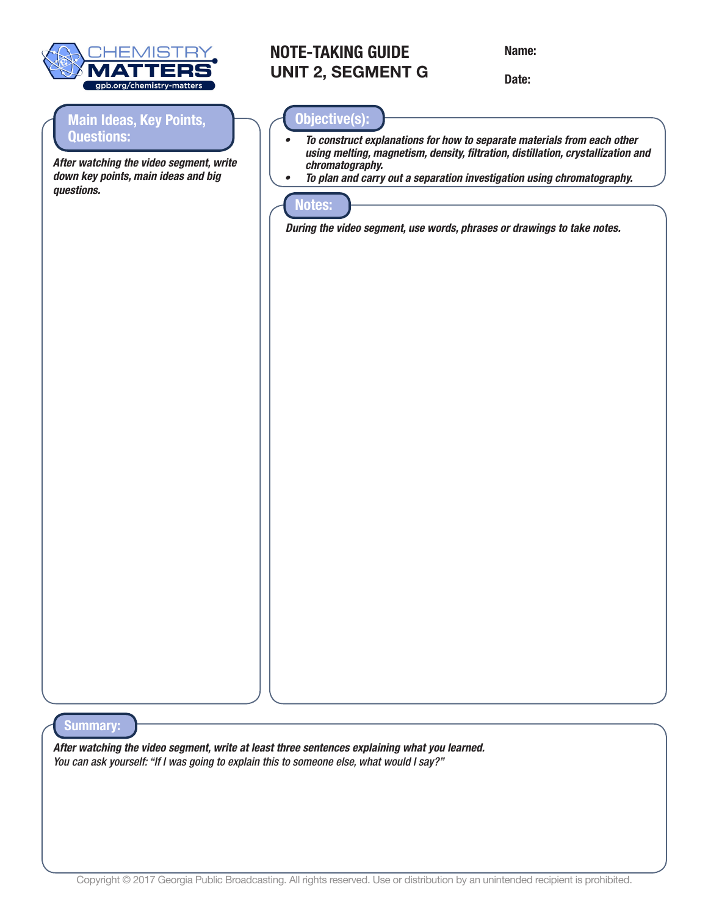

## **Main Ideas, Key Points, Questions:**

*After watching the video segment, write down key points, main ideas and big questions.* 

## **NOTE-TAKING GUIDE UNIT 2, SEGMENT G**

Name:

Date:

## **Objective(s):**

- *• To construct explanations for how to separate materials from each other using melting, magnetism, density, filtration, distillation, crystallization and chromatography.*
- *• To plan and carry out a separation investigation using chromatography.*



*During the video segment, use words, phrases or drawings to take notes.* 

**Summary:**

*After watching the video segment, write at least three sentences explaining what you learned. You can ask yourself: "If I was going to explain this to someone else, what would I say?"*